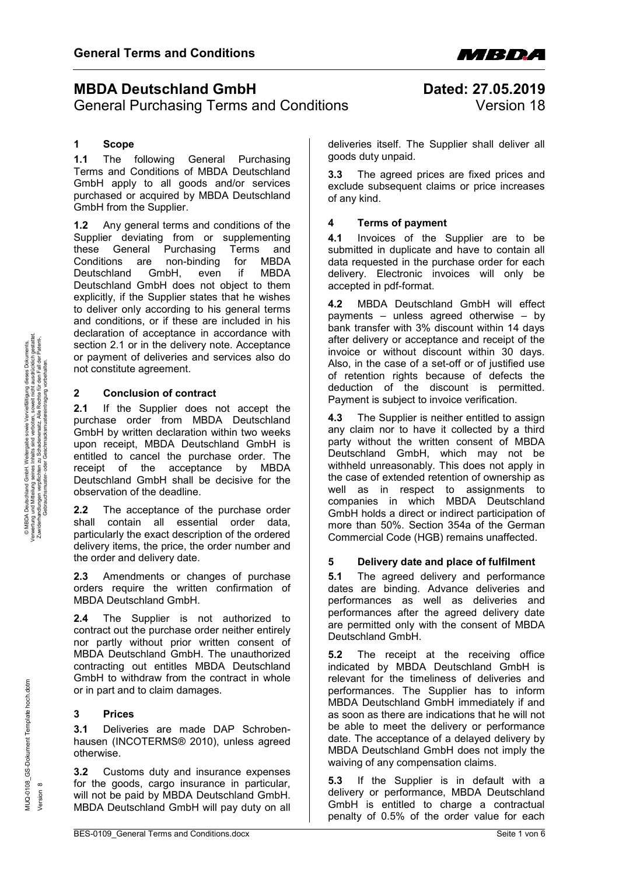

# <span id="page-0-0"></span>**MBDA Deutschland GmbH Dated: 27.05.2019**

General Purchasing Terms and Conditions **Version 18** 

# **1 Scope**

**1.1** The following General Purchasing Terms and Conditions of MBDA Deutschland GmbH apply to all goods and/or services purchased or acquired by MBDA Deutschland GmbH from the Supplier.

**1.2** Any general terms and conditions of the Supplier deviating from or supplementing<br>these General Purchasing Terms and these General Purchasing Terms and<br>Conditions are non-binding for MBDA Conditions are non-binding for Deutschland GmbH, even if MBDA Deutschland GmbH does not object to them explicitly, if the Supplier states that he wishes to deliver only according to his general terms and conditions, or if these are included in his declaration of acceptance in accordance with section 2.1 or in the delivery note. Acceptance or payment of deliveries and services also do not constitute agreement.

# **2 Conclusion of contract**

**2.1** If the Supplier does not accept the purchase order from MBDA Deutschland GmbH by written declaration within two weeks upon receipt, MBDA Deutschland GmbH is entitled to cancel the purchase order. The receipt of the acceptance by MBDA Deutschland GmbH shall be decisive for the observation of the deadline.

**2.2** The acceptance of the purchase order shall contain all essential order data, particularly the exact description of the ordered delivery items, the price, the order number and the order and delivery date.

**2.3** Amendments or changes of purchase orders require the written confirmation of MBDA Deutschland GmbH.

**2.4** The Supplier is not authorized to contract out the purchase order neither entirely nor partly without prior written consent of MBDA Deutschland GmbH. The unauthorized contracting out entitles MBDA Deutschland GmbH to withdraw from the contract in whole or in part and to claim damages.

# **3 Prices**

**3.1** Deliveries are made DAP Schrobenhausen (INCOTERMS® 2010), unless agreed otherwise.

**3.2** Customs duty and insurance expenses for the goods, cargo insurance in particular, will not be paid by MBDA Deutschland GmbH. MBDA Deutschland GmbH will pay duty on all

deliveries itself. The Supplier shall deliver all goods duty unpaid.

**3.3** The agreed prices are fixed prices and exclude subsequent claims or price increases of any kind.

### **4 Terms of payment**

**4.1** Invoices of the Supplier are to be submitted in duplicate and have to contain all data requested in the purchase order for each delivery. Electronic invoices will only be accepted in pdf-format.

**4.2** MBDA Deutschland GmbH will effect payments – unless agreed otherwise – by bank transfer with 3% discount within 14 days after delivery or acceptance and receipt of the invoice or without discount within 30 days. Also, in the case of a set-off or of justified use of retention rights because of defects the deduction of the discount is permitted. Payment is subject to invoice verification.

**4.3** The Supplier is neither entitled to assign any claim nor to have it collected by a third party without the written consent of MBDA Deutschland GmbH, which may not be withheld unreasonably. This does not apply in the case of extended retention of ownership as well as in respect to assignments to companies in which MBDA Deutschland GmbH holds a direct or indirect participation of more than 50%. Section 354a of the German Commercial Code (HGB) remains unaffected.

# **5 Delivery date and place of fulfilment**

**5.1** The agreed delivery and performance dates are binding. Advance deliveries and performances as well as deliveries and performances after the agreed delivery date are permitted only with the consent of MBDA Deutschland GmbH.

**5.2** The receipt at the receiving office indicated by MBDA Deutschland GmbH is relevant for the timeliness of deliveries and performances. The Supplier has to inform MBDA Deutschland GmbH immediately if and as soon as there are indications that he will not be able to meet the delivery or performance date. The acceptance of a delayed delivery by MBDA Deutschland GmbH does not imply the waiving of any compensation claims.

**5.3** If the Supplier is in default with a delivery or performance, MBDA Deutschland GmbH is entitled to charge a contractual penalty of 0.5% of the order value for each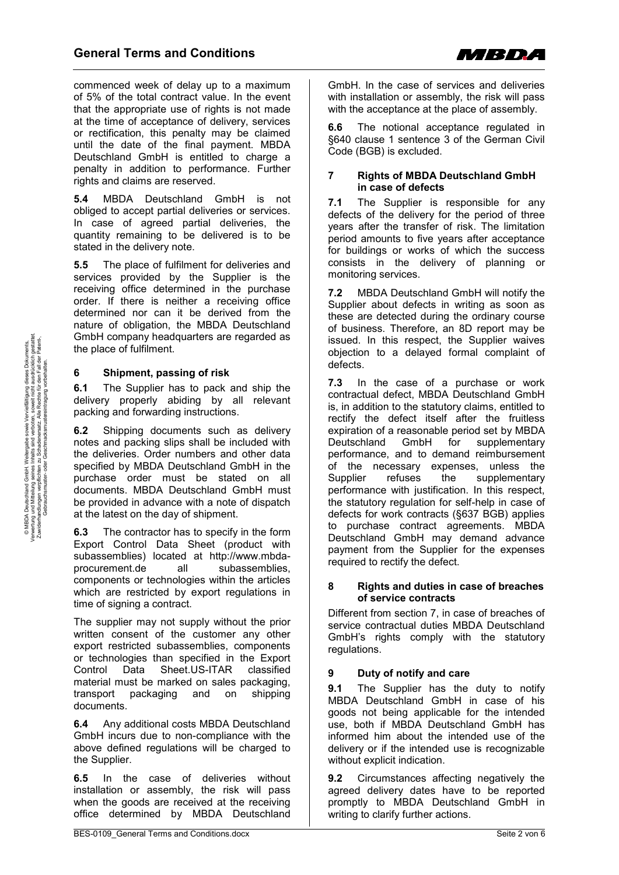

commenced week of delay up to a maximum of 5% of the total contract value. In the event that the appropriate use of rights is not made at the time of acceptance of delivery, services or rectification, this penalty may be claimed until the date of the final payment. MBDA Deutschland GmbH is entitled to charge a penalty in addition to performance. Further rights and claims are reserved.

**5.4** MBDA Deutschland GmbH is not obliged to accept partial deliveries or services. In case of agreed partial deliveries, the quantity remaining to be delivered is to be stated in the delivery note.

**5.5** The place of fulfilment for deliveries and services provided by the Supplier is the receiving office determined in the purchase order. If there is neither a receiving office determined nor can it be derived from the nature of obligation, the MBDA Deutschland GmbH company headquarters are regarded as the place of fulfilment.

## **6 Shipment, passing of risk**

**6.1** The Supplier has to pack and ship the delivery properly abiding by all relevant packing and forwarding instructions.

**6.2** Shipping documents such as delivery notes and packing slips shall be included with the deliveries. Order numbers and other data specified by MBDA Deutschland GmbH in the purchase order must be stated on all documents. MBDA Deutschland GmbH must be provided in advance with a note of dispatch at the latest on the day of shipment.

**6.3** The contractor has to specify in the form Export Control Data Sheet (product with subassemblies) located at http://www.mbdaprocurement.de all subassemblies, components or technologies within the articles which are restricted by export regulations in time of signing a contract.

The supplier may not supply without the prior written consent of the customer any other export restricted subassemblies, components or technologies than specified in the Export Control Data Sheet.US-ITAR classified material must be marked on sales packaging, transport packaging and on shipping documents.

**6.4** Any additional costs MBDA Deutschland GmbH incurs due to non-compliance with the above defined regulations will be charged to the Supplier.

**6.5** In the case of deliveries without installation or assembly, the risk will pass when the goods are received at the receiving office determined by MBDA Deutschland

GmbH. In the case of services and deliveries with installation or assembly, the risk will pass with the acceptance at the place of assembly.

**6.6** The notional acceptance regulated in §640 clause 1 sentence 3 of the German Civil Code (BGB) is excluded.

### **7 Rights of MBDA Deutschland GmbH in case of defects**

**7.1** The Supplier is responsible for any defects of the delivery for the period of three years after the transfer of risk. The limitation period amounts to five years after acceptance for buildings or works of which the success consists in the delivery of planning or monitoring services.

**7.2** MBDA Deutschland GmbH will notify the Supplier about defects in writing as soon as these are detected during the ordinary course of business. Therefore, an 8D report may be issued. In this respect, the Supplier waives objection to a delayed formal complaint of defects.

**7.3** In the case of a purchase or work contractual defect, MBDA Deutschland GmbH is, in addition to the statutory claims, entitled to rectify the defect itself after the fruitless expiration of a reasonable period set by MBDA Deutschland GmbH for supplementary performance, and to demand reimbursement of the necessary expenses, unless the Supplier refuses the supplementary performance with justification. In this respect, the statutory regulation for self-help in case of defects for work contracts (§637 BGB) applies to purchase contract agreements. MBDA Deutschland GmbH may demand advance payment from the Supplier for the expenses required to rectify the defect.

#### **8 Rights and duties in case of breaches of service contracts**

Different from section 7, in case of breaches of service contractual duties MBDA Deutschland GmbH's rights comply with the statutory regulations.

# **9 Duty of notify and care**

**9.1** The Supplier has the duty to notify MBDA Deutschland GmbH in case of his goods not being applicable for the intended use, both if MBDA Deutschland GmbH has informed him about the intended use of the delivery or if the intended use is recognizable without explicit indication.

**9.2** Circumstances affecting negatively the agreed delivery dates have to be reported promptly to MBDA Deutschland GmbH in writing to clarify further actions.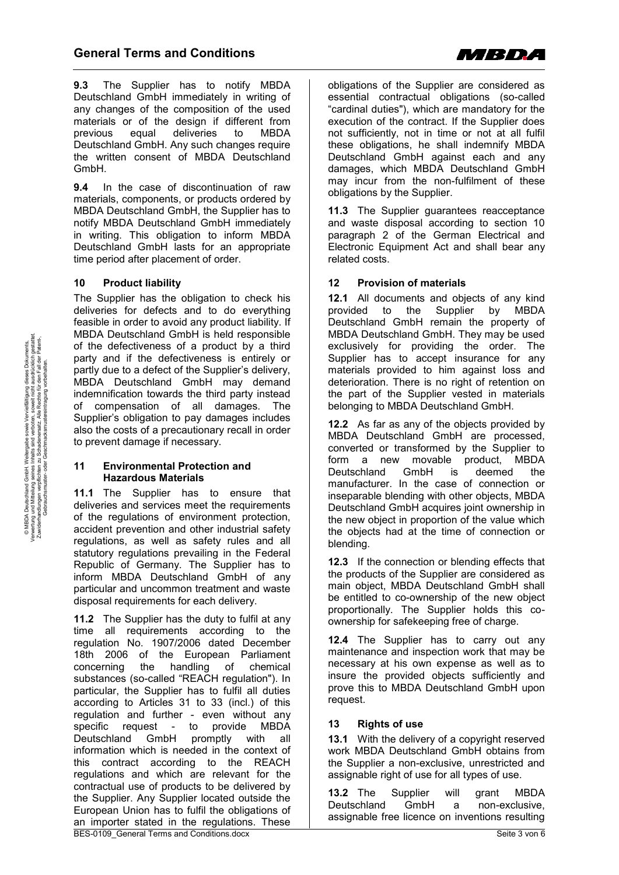

**9.3** The Supplier has to notify MBDA Deutschland GmbH immediately in writing of any changes of the composition of the used materials or of the design if different from previous equal deliveries to MBDA Deutschland GmbH. Any such changes require the written consent of MBDA Deutschland GmbH.

**9.4** In the case of discontinuation of raw materials, components, or products ordered by MBDA Deutschland GmbH, the Supplier has to notify MBDA Deutschland GmbH immediately in writing. This obligation to inform MBDA Deutschland GmbH lasts for an appropriate time period after placement of order.

## **10 Product liability**

The Supplier has the obligation to check his deliveries for defects and to do everything feasible in order to avoid any product liability. If MBDA Deutschland GmbH is held responsible of the defectiveness of a product by a third party and if the defectiveness is entirely or partly due to a defect of the Supplier's delivery, MBDA Deutschland GmbH may demand indemnification towards the third party instead of compensation of all damages. The Supplier's obligation to pay damages includes also the costs of a precautionary recall in order to prevent damage if necessary.

#### **11 Environmental Protection and Hazardous Materials**

**11.1** The Supplier has to ensure that deliveries and services meet the requirements of the regulations of environment protection, accident prevention and other industrial safety regulations, as well as safety rules and all statutory regulations prevailing in the Federal Republic of Germany. The Supplier has to inform MBDA Deutschland GmbH of any particular and uncommon treatment and waste disposal requirements for each delivery.

**11.2** The Supplier has the duty to fulfil at any time all requirements according to the regulation No. 1907/2006 dated December 18th 2006 of the European Parliament<br>concerning the handling of chemical the handling of chemical substances (so-called "REACH regulation"). In particular, the Supplier has to fulfil all duties according to Articles 31 to 33 (incl.) of this regulation and further - even without any specific request - to provide MBDA Deutschland GmbH promptly with all information which is needed in the context of this contract according to the REACH regulations and which are relevant for the contractual use of products to be delivered by the Supplier. Any Supplier located outside the European Union has to fulfil the obligations of an importer stated in the regulations. These obligations of the Supplier are considered as essential contractual obligations (so-called "cardinal duties"), which are mandatory for the execution of the contract. If the Supplier does not sufficiently, not in time or not at all fulfil these obligations, he shall indemnify MBDA Deutschland GmbH against each and any damages, which MBDA Deutschland GmbH may incur from the non-fulfilment of these obligations by the Supplier.

**11.3** The Supplier guarantees reacceptance and waste disposal according to section 10 paragraph 2 of the German Electrical and Electronic Equipment Act and shall bear any related costs.

# **12 Provision of materials**

**12.1** All documents and objects of any kind provided to the Supplier by MBDA Deutschland GmbH remain the property of MBDA Deutschland GmbH. They may be used exclusively for providing the order. The Supplier has to accept insurance for any materials provided to him against loss and deterioration. There is no right of retention on the part of the Supplier vested in materials belonging to MBDA Deutschland GmbH.

**12.2** As far as any of the objects provided by MBDA Deutschland GmbH are processed, converted or transformed by the Supplier to form a new movable product, MBDA<br>Deutschland GmbH is deemed the Deutschland GmbH is deemed the manufacturer. In the case of connection or inseparable blending with other objects, MBDA Deutschland GmbH acquires joint ownership in the new object in proportion of the value which the objects had at the time of connection or blending.

**12.3** If the connection or blending effects that the products of the Supplier are considered as main object, MBDA Deutschland GmbH shall be entitled to co-ownership of the new object proportionally. The Supplier holds this coownership for safekeeping free of charge.

**12.4** The Supplier has to carry out any maintenance and inspection work that may be necessary at his own expense as well as to insure the provided objects sufficiently and prove this to MBDA Deutschland GmbH upon request.

# **13 Rights of use**

**13.1** With the delivery of a copyright reserved work MBDA Deutschland GmbH obtains from the Supplier a non-exclusive, unrestricted and assignable right of use for all types of use.

**13.2** The Supplier will grant MBDA Deutschland GmbH a non-exclusive, assignable free licence on inventions resulting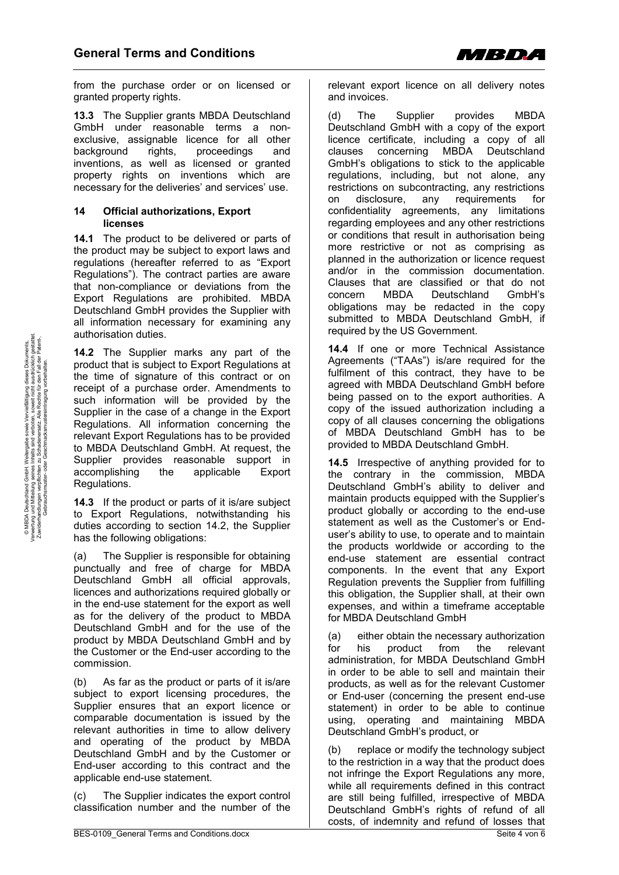

from the purchase order or on licensed or granted property rights.

**13.3** The Supplier grants MBDA Deutschland GmbH under reasonable terms a nonexclusive, assignable licence for all other background rights, proceedings and inventions, as well as licensed or granted property rights on inventions which are necessary for the deliveries' and services' use.

#### **14 Official authorizations, Export licenses**

**14.1** The product to be delivered or parts of the product may be subject to export laws and regulations (hereafter referred to as "Export Regulations"). The contract parties are aware that non-compliance or deviations from the Export Regulations are prohibited. MBDA Deutschland GmbH provides the Supplier with all information necessary for examining any authorisation duties.

**14.2** The Supplier marks any part of the product that is subject to Export Regulations at the time of signature of this contract or on receipt of a purchase order. Amendments to such information will be provided by the Supplier in the case of a change in the Export Regulations. All information concerning the relevant Export Regulations has to be provided to MBDA Deutschland GmbH. At request, the Supplier provides reasonable support in accomplishing the applicable Export Regulations.

**14.3** If the product or parts of it is/are subject to Export Regulations, notwithstanding his duties according to section 14.2, the Supplier has the following obligations:

(a) The Supplier is responsible for obtaining punctually and free of charge for MBDA Deutschland GmbH all official approvals, licences and authorizations required globally or in the end-use statement for the export as well as for the delivery of the product to MBDA Deutschland GmbH and for the use of the product by MBDA Deutschland GmbH and by the Customer or the End-user according to the commission.

(b) As far as the product or parts of it is/are subject to export licensing procedures, the Supplier ensures that an export licence or comparable documentation is issued by the relevant authorities in time to allow delivery and operating of the product by MBDA Deutschland GmbH and by the Customer or End-user according to this contract and the applicable end-use statement.

(c) The Supplier indicates the export control classification number and the number of the

relevant export licence on all delivery notes and invoices.

(d) The Supplier provides MBDA Deutschland GmbH with a copy of the export licence certificate, including a copy of all clauses concerning MBDA Deutschland GmbH's obligations to stick to the applicable regulations, including, but not alone, any restrictions on subcontracting, any restrictions on disclosure, any requirements for confidentiality agreements, any limitations regarding employees and any other restrictions or conditions that result in authorisation being more restrictive or not as comprising as planned in the authorization or licence request and/or in the commission documentation. Clauses that are classified or that do not concern MBDA Deutschland GmbH's obligations may be redacted in the copy submitted to MBDA Deutschland GmbH, if required by the US Government.

**14.4** If one or more Technical Assistance Agreements ("TAAs") is/are required for the fulfilment of this contract, they have to be agreed with MBDA Deutschland GmbH before being passed on to the export authorities. A copy of the issued authorization including a copy of all clauses concerning the obligations of MBDA Deutschland GmbH has to be provided to MBDA Deutschland GmbH.

**14.5** Irrespective of anything provided for to the contrary in the commission, MBDA Deutschland GmbH's ability to deliver and maintain products equipped with the Supplier's product globally or according to the end-use statement as well as the Customer's or Enduser's ability to use, to operate and to maintain the products worldwide or according to the end-use statement are essential contract components. In the event that any Export Regulation prevents the Supplier from fulfilling this obligation, the Supplier shall, at their own expenses, and within a timeframe acceptable for MBDA Deutschland GmbH

(a) either obtain the necessary authorization for his product from the relevant administration, for MBDA Deutschland GmbH in order to be able to sell and maintain their products, as well as for the relevant Customer or End-user (concerning the present end-use statement) in order to be able to continue using, operating and maintaining MBDA Deutschland GmbH's product, or

(b) replace or modify the technology subject to the restriction in a way that the product does not infringe the Export Regulations any more, while all requirements defined in this contract are still being fulfilled, irrespective of MBDA Deutschland GmbH's rights of refund of all costs, of indemnity and refund of losses that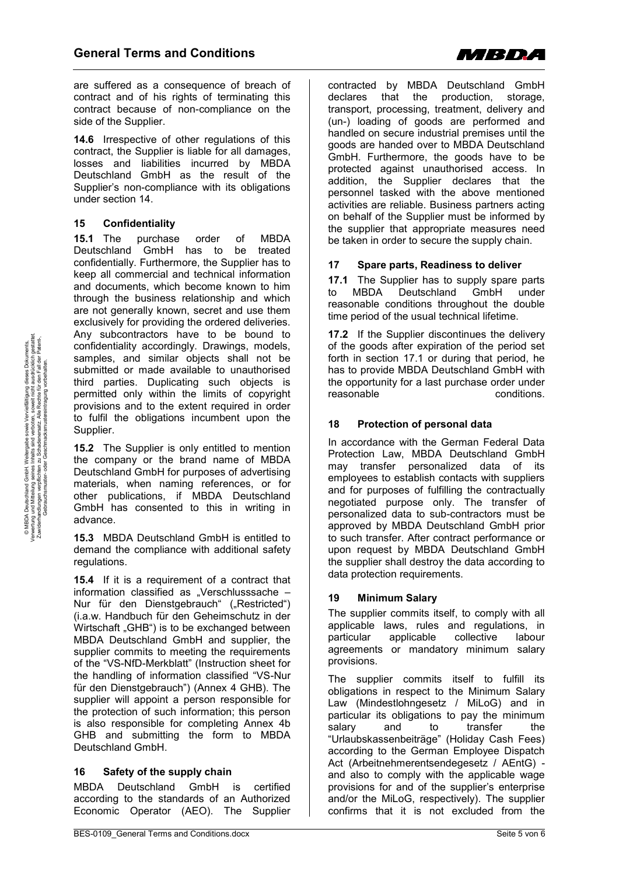

are suffered as a consequence of breach of contract and of his rights of terminating this contract because of non-compliance on the side of the Supplier.

**14.6** Irrespective of other regulations of this contract, the Supplier is liable for all damages, losses and liabilities incurred by MBDA Deutschland GmbH as the result of the Supplier's non-compliance with its obligations under section 14.

## **15 Confidentiality**

**15.1** The purchase order of MBDA Deutschland GmbH has to be treated confidentially. Furthermore, the Supplier has to keep all commercial and technical information and documents, which become known to him through the business relationship and which are not generally known, secret and use them exclusively for providing the ordered deliveries. Any subcontractors have to be bound to confidentiality accordingly. Drawings, models, samples, and similar objects shall not be submitted or made available to unauthorised third parties. Duplicating such objects is permitted only within the limits of copyright provisions and to the extent required in order to fulfil the obligations incumbent upon the Supplier.

**15.2** The Supplier is only entitled to mention the company or the brand name of MBDA Deutschland GmbH for purposes of advertising materials, when naming references, or for other publications, if MBDA Deutschland GmbH has consented to this in writing in advance.

**15.3** MBDA Deutschland GmbH is entitled to demand the compliance with additional safety regulations.

**15.4** If it is a requirement of a contract that information classified as . Verschlusssache  $-$ Nur für den Dienstgebrauch" ("Restricted") (i.a.w. Handbuch für den Geheimschutz in der Wirtschaft "GHB") is to be exchanged between MBDA Deutschland GmbH and supplier, the supplier commits to meeting the requirements of the "VS-NfD-Merkblatt" (Instruction sheet for the handling of information classified "VS-Nur für den Dienstgebrauch") (Annex 4 GHB). The supplier will appoint a person responsible for the protection of such information; this person is also responsible for completing Annex 4b GHB and submitting the form to MBDA Deutschland GmbH.

# **16 Safety of the supply chain**

MBDA Deutschland GmbH is certified according to the standards of an Authorized Economic Operator (AEO). The Supplier contracted by MBDA Deutschland GmbH declares that the production, storage, transport, processing, treatment, delivery and (un-) loading of goods are performed and handled on secure industrial premises until the goods are handed over to MBDA Deutschland GmbH. Furthermore, the goods have to be protected against unauthorised access. In addition, the Supplier declares that the personnel tasked with the above mentioned activities are reliable. Business partners acting on behalf of the Supplier must be informed by the supplier that appropriate measures need be taken in order to secure the supply chain.

## **17 Spare parts, Readiness to deliver**

**17.1** The Supplier has to supply spare parts to MBDA Deutschland GmbH under reasonable conditions throughout the double time period of the usual technical lifetime.

17.2 If the Supplier discontinues the delivery of the goods after expiration of the period set forth in section 17.1 or during that period, he has to provide MBDA Deutschland GmbH with the opportunity for a last purchase order under reasonable conditions.

## **18 Protection of personal data**

In accordance with the German Federal Data Protection Law, MBDA Deutschland GmbH may transfer personalized data of its employees to establish contacts with suppliers and for purposes of fulfilling the contractually negotiated purpose only. The transfer of personalized data to sub-contractors must be approved by MBDA Deutschland GmbH prior to such transfer. After contract performance or upon request by MBDA Deutschland GmbH the supplier shall destroy the data according to data protection requirements.

### **19 Minimum Salary**

The supplier commits itself, to comply with all applicable laws, rules and regulations, in particular applicable collective labour agreements or mandatory minimum salary provisions.

The supplier commits itself to fulfill its obligations in respect to the Minimum Salary Law (Mindestlohngesetz / MiLoG) and in particular its obligations to pay the minimum salary and to transfer the "Urlaubskassenbeiträge" (Holiday Cash Fees) according to the German Employee Dispatch Act (Arbeitnehmerentsendegesetz / AEntG) and also to comply with the applicable wage provisions for and of the supplier's enterprise and/or the MiLoG, respectively). The supplier confirms that it is not excluded from the